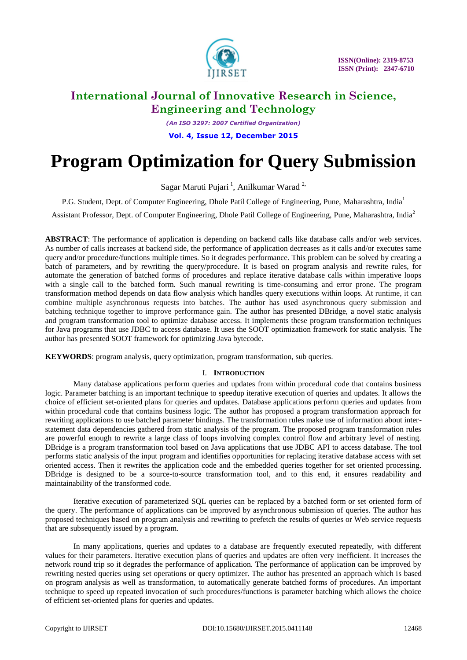

*(An ISO 3297: 2007 Certified Organization)*

**Vol. 4, Issue 12, December 2015**

# **Program Optimization for Query Submission**

Sagar Maruti Pujari<sup>1</sup>, Anilkumar Warad<sup>2,</sup>

P.G. Student, Dept. of Computer Engineering, Dhole Patil College of Engineering, Pune, Maharashtra, India<sup>1</sup>

Assistant Professor, Dept. of Computer Engineering, Dhole Patil College of Engineering, Pune, Maharashtra, India<sup>2</sup>

**ABSTRACT**: The performance of application is depending on backend calls like database calls and/or web services. As number of calls increases at backend side, the performance of application decreases as it calls and/or executes same query and/or procedure/functions multiple times. So it degrades performance. This problem can be solved by creating a batch of parameters, and by rewriting the query/procedure. It is based on program analysis and rewrite rules, for automate the generation of batched forms of procedures and replace iterative database calls within imperative loops with a single call to the batched form. Such manual rewriting is time-consuming and error prone. The program transformation method depends on data flow analysis which handles query executions within loops. At runtime, it can combine multiple asynchronous requests into batches. The author has used asynchronous query submission and batching technique together to improve performance gain. The author has presented DBridge, a novel static analysis and program transformation tool to optimize database access. It implements these program transformation techniques for Java programs that use JDBC to access database. It uses the SOOT optimization framework for static analysis. The author has presented SOOT framework for optimizing Java bytecode.

**KEYWORDS**: program analysis, query optimization, program transformation, sub queries.

### I. **INTRODUCTION**

Many database applications perform queries and updates from within procedural code that contains business logic. Parameter batching is an important technique to speedup iterative execution of queries and updates. It allows the choice of efficient set-oriented plans for queries and updates. Database applications perform queries and updates from within procedural code that contains business logic. The author has proposed a program transformation approach for rewriting applications to use batched parameter bindings. The transformation rules make use of information about interstatement data dependencies gathered from static analysis of the program. The proposed program transformation rules are powerful enough to rewrite a large class of loops involving complex control flow and arbitrary level of nesting. DBridge is a program transformation tool based on Java applications that use JDBC API to access database. The tool performs static analysis of the input program and identifies opportunities for replacing iterative database access with set oriented access. Then it rewrites the application code and the embedded queries together for set oriented processing. DBridge is designed to be a source-to-source transformation tool, and to this end, it ensures readability and maintainability of the transformed code.

Iterative execution of parameterized SQL queries can be replaced by a batched form or set oriented form of the query. The performance of applications can be improved by asynchronous submission of queries. The author has proposed techniques based on program analysis and rewriting to prefetch the results of queries or Web service requests that are subsequently issued by a program.

In many applications, queries and updates to a database are frequently executed repeatedly, with different values for their parameters. Iterative execution plans of queries and updates are often very inefficient. It increases the network round trip so it degrades the performance of application. The performance of application can be improved by rewriting nested queries using set operations or query optimizer. The author has presented an approach which is based on program analysis as well as transformation, to automatically generate batched forms of procedures. An important technique to speed up repeated invocation of such procedures/functions is parameter batching which allows the choice of efficient set-oriented plans for queries and updates.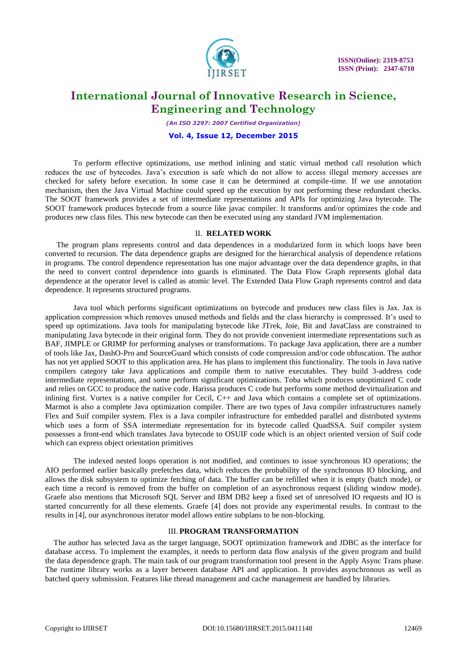

*(An ISO 3297: 2007 Certified Organization)*

#### **Vol. 4, Issue 12, December 2015**

To perform effective optimizations, use method inlining and static virtual method call resolution which reduces the use of bytecodes. Java's execution is safe which do not allow to access illegal memory accesses are checked for safety before execution. In some case it can be determined at compile-time. If we use annotation mechanism, then the Java Virtual Machine could speed up the execution by not performing these redundant checks. The SOOT framework provides a set of intermediate representations and APIs for optimizing Java bytecode. The SOOT framework produces bytecode from a source like javac compiler. It transforms and/or optimizes the code and produces new class files. This new bytecode can then be executed using any standard JVM implementation.

#### II. **RELATED WORK**

The program plans represents control and data dependences in a modularized form in which loops have been converted to recursion. The data dependence graphs are designed for the hierarchical analysis of dependence relations in programs. The control dependence representation has one major advantage over the data dependence graphs, in that the need to convert control dependence into guards is eliminated. The Data Flow Graph represents global data dependence at the operator level is called as atomic level. The Extended Data Flow Graph represents control and data dependence. It represents structured programs.

Java tool which performs significant optimizations on bytecode and produces new class files is Jax. Jax is application compression which removes unused methods and fields and the class hierarchy is compressed. It's used to speed up optimizations. Java tools for manipulating bytecode like JTrek, Joie, Bit and JavaClass are constrained to manipulating Java bytecode in their original form. They do not provide convenient intermediate representations such as BAF, JIMPLE or GRIMP for performing analyses or transformations. To package Java application, there are a number of tools like Jax, DashO-Pro and SourceGuard which consists of code compression and/or code obfuscation. The author has not yet applied SOOT to this application area. He has plans to implement this functionality. The tools in Java native compilers category take Java applications and compile them to native executables. They build 3-address code intermediate representations, and some perform significant optimizations. Toba which produces unoptimized C code and relies on GCC to produce the native code. Harissa produces C code but performs some method devirtualization and inlining first. Vortex is a native compiler for Cecil, C++ and Java which contains a complete set of optimizations. Marmot is also a complete Java optimization compiler. There are two types of Java compiler infrastructures namely Flex and Suif compiler system. Flex is a Java compiler infrastructure for embedded parallel and distributed systems which uses a form of SSA intermediate representation for its bytecode called QuadSSA. Suif compiler system possesses a front-end which translates Java bytecode to OSUIF code which is an object oriented version of Suif code which can express object orientation primitives

The indexed nested loops operation is not modified, and continues to issue synchronous IO operations; the AIO performed earlier basically prefetches data, which reduces the probability of the synchronous IO blocking, and allows the disk subsystem to optimize fetching of data. The buffer can be refilled when it is empty (batch mode), or each time a record is removed from the buffer on completion of an asynchronous request (sliding window mode). Graefe also mentions that Microsoft SQL Server and IBM DB2 keep a fixed set of unresolved IO requests and IO is started concurrently for all these elements. Graefe [4] does not provide any experimental results. In contrast to the results in [4], our asynchronous iterator model allows entire subplans to be non-blocking.

#### III. **PROGRAM TRANSFORMATION**

The author has selected Java as the target language, SOOT optimization framework and JDBC as the interface for database access. To implement the examples, it needs to perform data flow analysis of the given program and build the data dependence graph. The main task of our program transformation tool present in the Apply Async Trans phase. The runtime library works as a layer between database API and application. It provides asynchronous as well as batched query submission. Features like thread management and cache management are handled by libraries.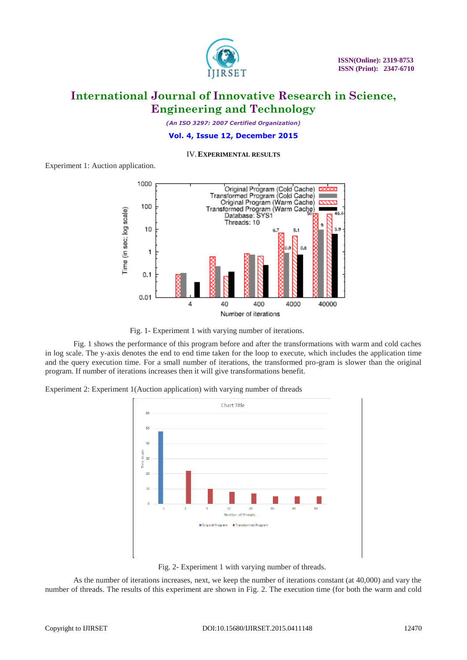

*(An ISO 3297: 2007 Certified Organization)*

#### **Vol. 4, Issue 12, December 2015**

IV.**EXPERIMENTAL RESULTS**

Experiment 1: Auction application.



Fig. 1- Experiment 1 with varying number of iterations.

Fig. 1 shows the performance of this program before and after the transformations with warm and cold caches in log scale. The y-axis denotes the end to end time taken for the loop to execute, which includes the application time and the query execution time. For a small number of iterations, the transformed pro-gram is slower than the original program. If number of iterations increases then it will give transformations benefit.

Experiment 2: Experiment 1(Auction application) with varying number of threads



Fig. 2- Experiment 1 with varying number of threads.

As the number of iterations increases, next, we keep the number of iterations constant (at 40,000) and vary the number of threads. The results of this experiment are shown in Fig. 2. The execution time (for both the warm and cold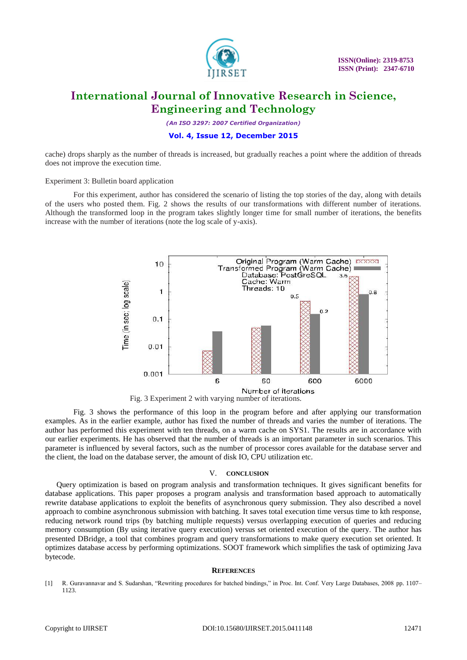

*(An ISO 3297: 2007 Certified Organization)*

#### **Vol. 4, Issue 12, December 2015**

cache) drops sharply as the number of threads is increased, but gradually reaches a point where the addition of threads does not improve the execution time.

Experiment 3: Bulletin board application

For this experiment, author has considered the scenario of listing the top stories of the day, along with details of the users who posted them. Fig. 2 shows the results of our transformations with different number of iterations. Although the transformed loop in the program takes slightly longer time for small number of iterations, the benefits increase with the number of iterations (note the log scale of y-axis).





Fig. 3 shows the performance of this loop in the program before and after applying our transformation examples. As in the earlier example, author has fixed the number of threads and varies the number of iterations. The author has performed this experiment with ten threads, on a warm cache on SYS1. The results are in accordance with our earlier experiments. He has observed that the number of threads is an important parameter in such scenarios. This parameter is influenced by several factors, such as the number of processor cores available for the database server and the client, the load on the database server, the amount of disk IO, CPU utilization etc.

#### V. **CONCLUSION**

Query optimization is based on program analysis and transformation techniques. It gives significant benefits for database applications. This paper proposes a program analysis and transformation based approach to automatically rewrite database applications to exploit the benefits of asynchronous query submission. They also described a novel approach to combine asynchronous submission with batching. It saves total execution time versus time to kth response, reducing network round trips (by batching multiple requests) versus overlapping execution of queries and reducing memory consumption (By using iterative query execution) versus set oriented execution of the query. The author has presented DBridge, a tool that combines program and query transformations to make query execution set oriented. It optimizes database access by performing optimizations. SOOT framework which simplifies the task of optimizing Java bytecode.

#### **REFERENCES**

[1] R. Guravannavar and S. Sudarshan, "Rewriting procedures for batched bindings," in Proc. Int. Conf. Very Large Databases, 2008 pp. 1107– 1123.